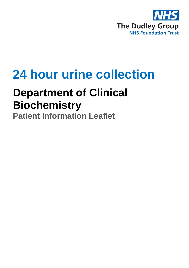

# **24 hour urine collection**

# **Department of Clinical Biochemistry**

**Patient Information Leaflet**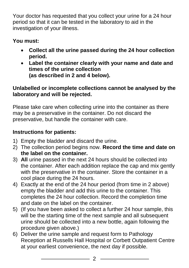Your doctor has requested that you collect your urine for a 24 hour period so that it can be tested in the laboratory to aid in the investigation of your illness.

#### **You must:**

- **Collect all the urine passed during the 24 hour collection period.**
- **Label the container clearly with your name and date and times of the urine collection (as described in 2 and 4 below).**

#### **Unlabelled or incomplete collections cannot be analysed by the laboratory and will be rejected.**

Please take care when collecting urine into the container as there may be a preservative in the container. Do not discard the preservative, but handle the container with care.

### **Instructions for patients:**

- 1) Empty the bladder and discard the urine.
- 2) The collection period begins now. **Record the time and date on the label on the container.**
- 3) **All** urine passed in the next 24 hours should be collected into the container. After each addition replace the cap and mix gently with the preservative in the container. Store the container in a cool place during the 24 hours.
- 4) Exactly at the end of the 24 hour period (from time in 2 above) empty the bladder and add this urine to the container. This completes the 24 hour collection. Record the completion time and date on the label on the container.
- 5) (If you have been asked to collect a further 24 hour sample, this will be the starting time of the next sample and all subsequent urine should be collected into a new bottle, again following the procedure given above.)
- 6) Deliver the urine sample and request form to Pathology Reception at Russells Hall Hospital or Corbett Outpatient Centre at your earliest convenience, the next day if possible.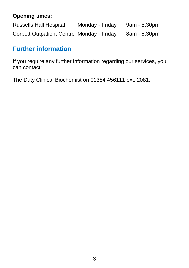#### **Opening times:**

Russells Hall Hospital Monday - Friday 9am - 5.30pm Corbett Outpatient Centre Monday - Friday 8am - 5.30pm

## **Further information**

If you require any further information regarding our services, you can contact:

The Duty Clinical Biochemist on 01384 456111 ext. 2081.